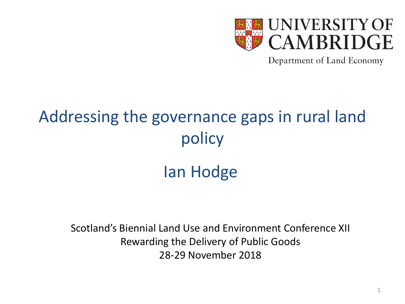

Department of Land Economy

#### Addressing the governance gaps in rural land policy

#### Ian Hodge

Scotland's Biennial Land Use and Environment Conference XII Rewarding the Delivery of Public Goods 28-29 November 2018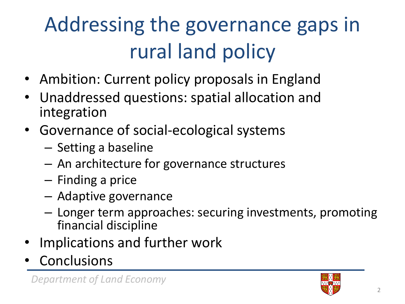### Addressing the governance gaps in rural land policy

- Ambition: Current policy proposals in England
- Unaddressed questions: spatial allocation and integration
- Governance of social-ecological systems
	- Setting a baseline
	- An architecture for governance structures
	- Finding a price
	- Adaptive governance
	- Longer term approaches: securing investments, promoting financial discipline
- Implications and further work
- **Conclusions**

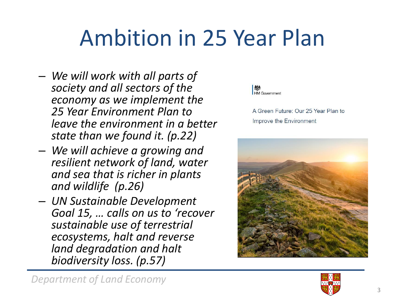## Ambition in 25 Year Plan

- *We will work with all parts of society and all sectors of the economy as we implement the 25 Year Environment Plan to leave the environment in a better state than we found it. (p.22)*
- *We will achieve a growing and resilient network of land, water and sea that is richer in plants and wildlife (p.26)*
- *UN Sustainable Development Goal 15, … calls on us to 'recover sustainable use of terrestrial ecosystems, halt and reverse land degradation and halt biodiversity loss. (p.57)*



A Green Future: Our 25 Year Plan to Improve the Environment



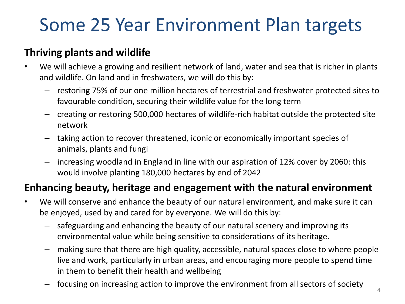#### Some 25 Year Environment Plan targets

#### **Thriving plants and wildlife**

- We will achieve a growing and resilient network of land, water and sea that is richer in plants and wildlife. On land and in freshwaters, we will do this by:
	- restoring 75% of our one million hectares of terrestrial and freshwater protected sites to favourable condition, securing their wildlife value for the long term
	- creating or restoring 500,000 hectares of wildlife-rich habitat outside the protected site network
	- taking action to recover threatened, iconic or economically important species of animals, plants and fungi
	- increasing woodland in England in line with our aspiration of 12% cover by 2060: this would involve planting 180,000 hectares by end of 2042

#### **Enhancing beauty, heritage and engagement with the natural environment**

- We will conserve and enhance the beauty of our natural environment, and make sure it can be enjoyed, used by and cared for by everyone. We will do this by:
	- safeguarding and enhancing the beauty of our natural scenery and improving its environmental value while being sensitive to considerations of its heritage.
	- making sure that there are high quality, accessible, natural spaces close to where people live and work, particularly in urban areas, and encouraging more people to spend time in them to benefit their health and wellbeing
	- focusing on increasing action to improve the environment from all sectors of society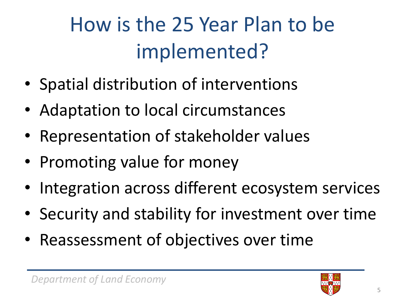#### How is the 25 Year Plan to be implemented?

- Spatial distribution of interventions
- Adaptation to local circumstances
- Representation of stakeholder values
- Promoting value for money
- Integration across different ecosystem services
- Security and stability for investment over time
- Reassessment of objectives over time

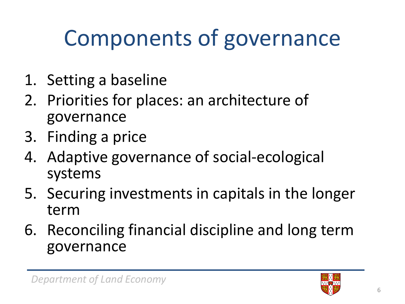## Components of governance

- 1. Setting a baseline
- 2. Priorities for places: an architecture of governance
- 3. Finding a price
- 4. Adaptive governance of social-ecological systems
- 5. Securing investments in capitals in the longer term
- 6. Reconciling financial discipline and long term governance

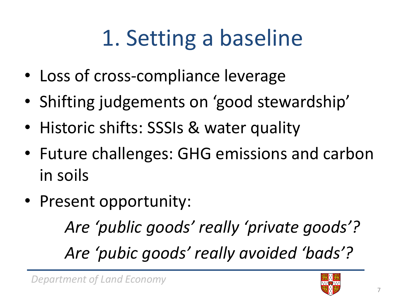# 1. Setting a baseline

- Loss of cross-compliance leverage
- Shifting judgements on 'good stewardship'
- Historic shifts: SSSIs & water quality
- Future challenges: GHG emissions and carbon in soils
- Present opportunity:

*Are 'public goods' really 'private goods'? Are 'pubic goods' really avoided 'bads'?*

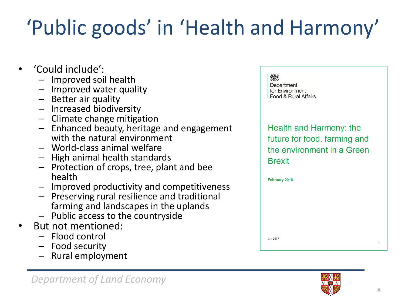## 'Public goods' in 'Health and Harmony'

- 'Could include':
	- Improved soil health
	- Improved water quality
	- Better air quality
	- Increased biodiversity
	- Climate change mitigation
	- Enhanced beauty, heritage and engagement with the natural environment
	- World-class animal welfare
	- High animal health standards
	- Protection of crops, tree, plant and bee health
	- Improved productivity and competitiveness
	- Preserving rural resilience and traditional farming and landscapes in the uplands
	- Public access to the countryside
- But not mentioned:
	- Flood control
	- Food security
	- Rural employment





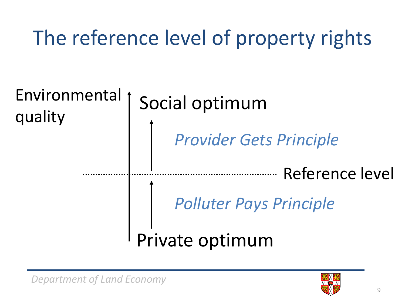The reference level of property rights



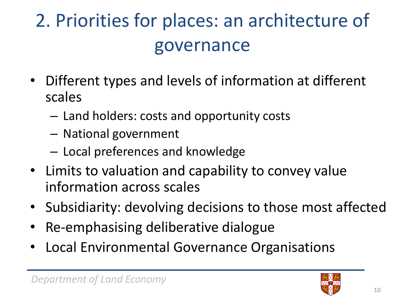#### 2. Priorities for places: an architecture of governance

- Different types and levels of information at different scales
	- Land holders: costs and opportunity costs
	- National government
	- Local preferences and knowledge
- Limits to valuation and capability to convey value information across scales
- Subsidiarity: devolving decisions to those most affected
- Re-emphasising deliberative dialogue
- Local Environmental Governance Organisations

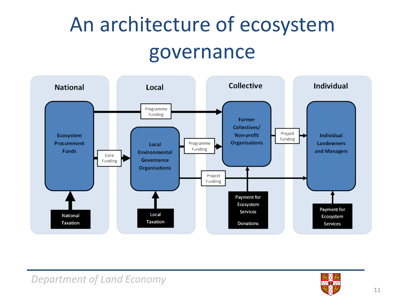#### An architecture of ecosystem governance



#### *Department of Land Economy*

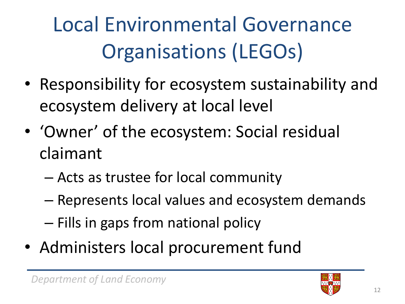Local Environmental Governance Organisations (LEGOs)

- Responsibility for ecosystem sustainability and ecosystem delivery at local level
- 'Owner' of the ecosystem: Social residual claimant
	- Acts as trustee for local community
	- Represents local values and ecosystem demands – Fills in gaps from national policy
- Administers local procurement fund

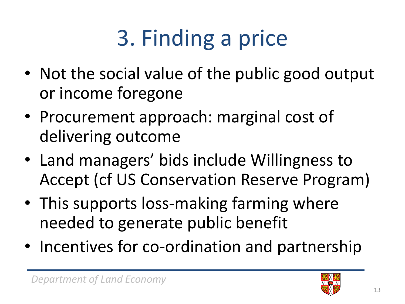# 3. Finding a price

- Not the social value of the public good output or income foregone
- Procurement approach: marginal cost of delivering outcome
- Land managers' bids include Willingness to Accept (cf US Conservation Reserve Program)
- This supports loss-making farming where needed to generate public benefit
- Incentives for co-ordination and partnership

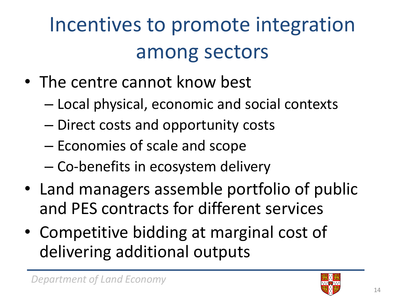#### Incentives to promote integration among sectors

- The centre cannot know best
	- Local physical, economic and social contexts
	- Direct costs and opportunity costs
	- Economies of scale and scope
	- Co-benefits in ecosystem delivery
- Land managers assemble portfolio of public and PES contracts for different services
- Competitive bidding at marginal cost of delivering additional outputs

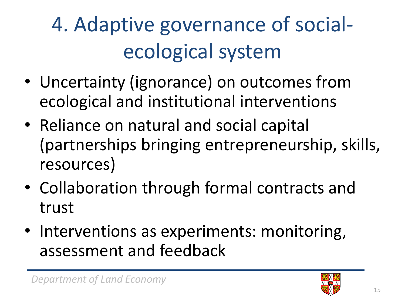### 4. Adaptive governance of socialecological system

- Uncertainty (ignorance) on outcomes from ecological and institutional interventions
- Reliance on natural and social capital (partnerships bringing entrepreneurship, skills, resources)
- Collaboration through formal contracts and trust
- Interventions as experiments: monitoring, assessment and feedback

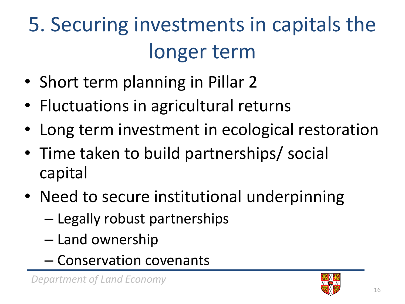## 5. Securing investments in capitals the longer term

- Short term planning in Pillar 2
- Fluctuations in agricultural returns
- Long term investment in ecological restoration
- Time taken to build partnerships/ social capital
- Need to secure institutional underpinning
	- Legally robust partnerships
	- Land ownership
	- Conservation covenants

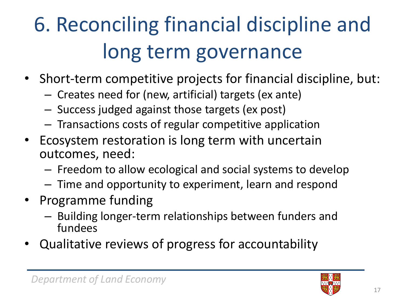## 6. Reconciling financial discipline and long term governance

- Short-term competitive projects for financial discipline, but:
	- Creates need for (new, artificial) targets (ex ante)
	- Success judged against those targets (ex post)
	- Transactions costs of regular competitive application
- Ecosystem restoration is long term with uncertain outcomes, need:
	- Freedom to allow ecological and social systems to develop
	- Time and opportunity to experiment, learn and respond
- Programme funding
	- Building longer-term relationships between funders and fundees
- Qualitative reviews of progress for accountability

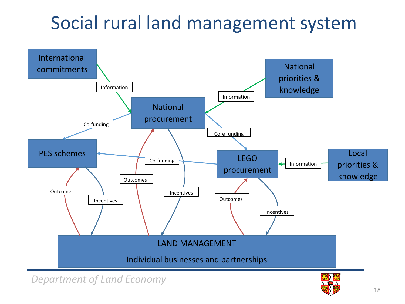#### Social rural land management system



*Department of Land Economy*

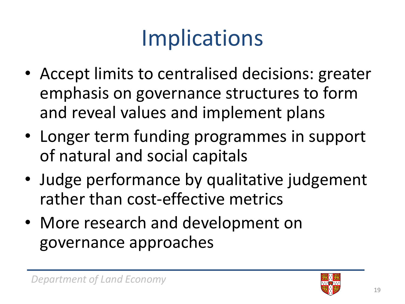## Implications

- Accept limits to centralised decisions: greater emphasis on governance structures to form and reveal values and implement plans
- Longer term funding programmes in support of natural and social capitals
- Judge performance by qualitative judgement rather than cost-effective metrics
- More research and development on governance approaches

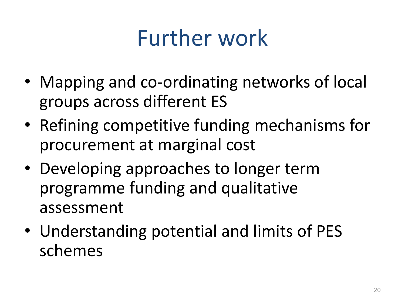### Further work

- Mapping and co-ordinating networks of local groups across different ES
- Refining competitive funding mechanisms for procurement at marginal cost
- Developing approaches to longer term programme funding and qualitative assessment
- Understanding potential and limits of PES schemes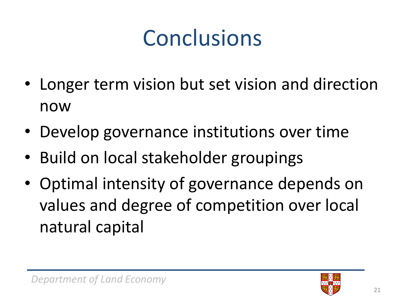## Conclusions

- Longer term vision but set vision and direction now
- Develop governance institutions over time
- Build on local stakeholder groupings
- Optimal intensity of governance depends on values and degree of competition over local natural capital